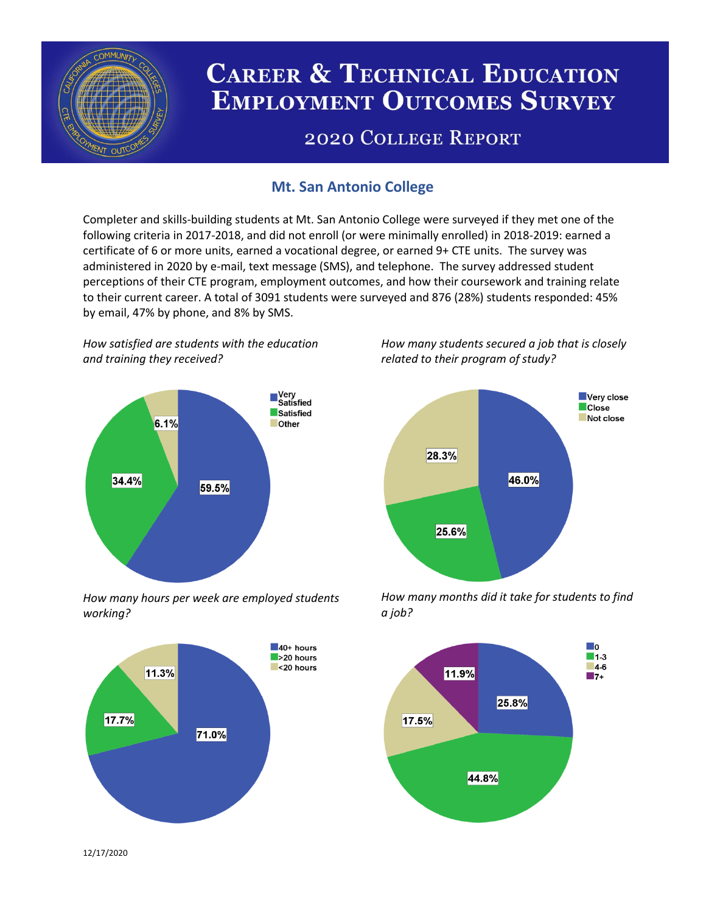

# **CAREER & TECHNICAL EDUCATION EMPLOYMENT OUTCOMES SURVEY**

## **2020 COLLEGE REPORT**

## **Mt. San Antonio College**

Completer and skills-building students at Mt. San Antonio College were surveyed if they met one of the following criteria in 2017-2018, and did not enroll (or were minimally enrolled) in 2018-2019: earned a certificate of 6 or more units, earned a vocational degree, or earned 9+ CTE units. The survey was administered in 2020 by e-mail, text message (SMS), and telephone. The survey addressed student perceptions of their CTE program, employment outcomes, and how their coursework and training relate to their current career. A total of 3091 students were surveyed and 876 (28%) students responded: 45% by email, 47% by phone, and 8% by SMS.

*How satisfied are students with the education and training they received?*



*How many hours per week are employed students working?*



*How many students secured a job that is closely related to their program of study?*



*How many months did it take for students to find a job?*



12/17/2020